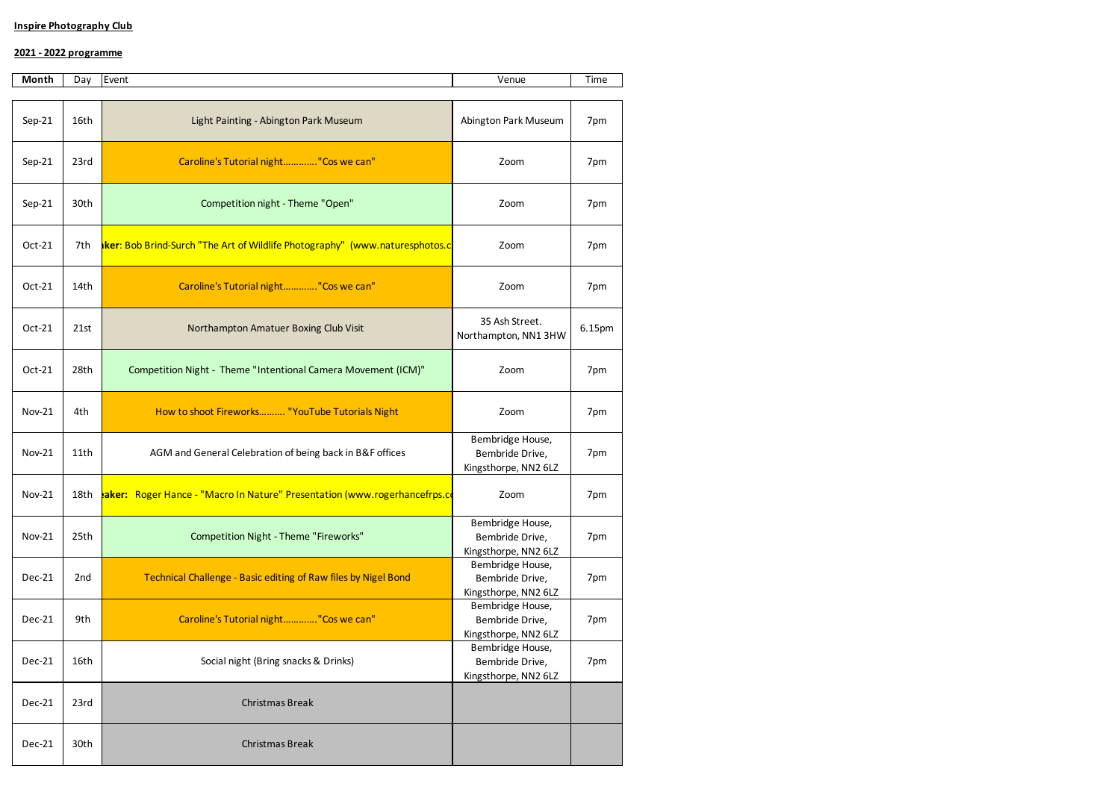## **Inspire Photography Club**

## **2021 - 2022 programme**

| Month         | Day  | Event                                                                              | Venue                                                       | Time   |
|---------------|------|------------------------------------------------------------------------------------|-------------------------------------------------------------|--------|
| $Sep-21$      | 16th | Light Painting - Abington Park Museum                                              | Abington Park Museum                                        | 7pm    |
| $Sep-21$      | 23rd | Caroline's Tutorial night"Cos we can"                                              | Zoom                                                        | 7pm    |
| $Sep-21$      | 30th | Competition night - Theme "Open"                                                   | Zoom                                                        | 7pm    |
| Oct-21        | 7th  | <b>ker:</b> Bob Brind-Surch "The Art of Wildlife Photography" (www.naturesphotos.c | Zoom                                                        | 7pm    |
| $Oct-21$      | 14th | Caroline's Tutorial night"Cos we can"                                              | Zoom                                                        | 7pm    |
| Oct-21        | 21st | Northampton Amatuer Boxing Club Visit                                              | 35 Ash Street.<br>Northampton, NN1 3HW                      | 6.15pm |
| $Oct-21$      | 28th | Competition Night - Theme "Intentional Camera Movement (ICM)"                      | Zoom                                                        | 7pm    |
| <b>Nov-21</b> | 4th  | How to shoot Fireworks "YouTube Tutorials Night                                    | Zoom                                                        | 7pm    |
| Nov-21        | 11th | AGM and General Celebration of being back in B&F offices                           | Bembridge House,<br>Bembride Drive,<br>Kingsthorpe, NN2 6LZ | 7pm    |
| <b>Nov-21</b> | 18th | aker: Roger Hance - "Macro In Nature" Presentation (www.rogerhancefrps.co          | Zoom                                                        | 7pm    |
| <b>Nov-21</b> | 25th | Competition Night - Theme "Fireworks"                                              | Bembridge House,<br>Bembride Drive,<br>Kingsthorpe, NN2 6LZ | 7pm    |
| Dec-21        | 2nd  | Technical Challenge - Basic editing of Raw files by Nigel Bond                     | Bembridge House,<br>Bembride Drive,<br>Kingsthorpe, NN2 6LZ | 7pm    |
| Dec-21        | 9th  | Caroline's Tutorial night"Cos we can"                                              | Bembridge House,<br>Bembride Drive,<br>Kingsthorpe, NN2 6LZ | 7pm    |
| <b>Dec-21</b> | 16th | Social night (Bring snacks & Drinks)                                               | Bembridge House,<br>Bembride Drive,<br>Kingsthorpe, NN2 6LZ | 7pm    |
| Dec-21        | 23rd | Christmas Break                                                                    |                                                             |        |
| Dec-21        | 30th | Christmas Break                                                                    |                                                             |        |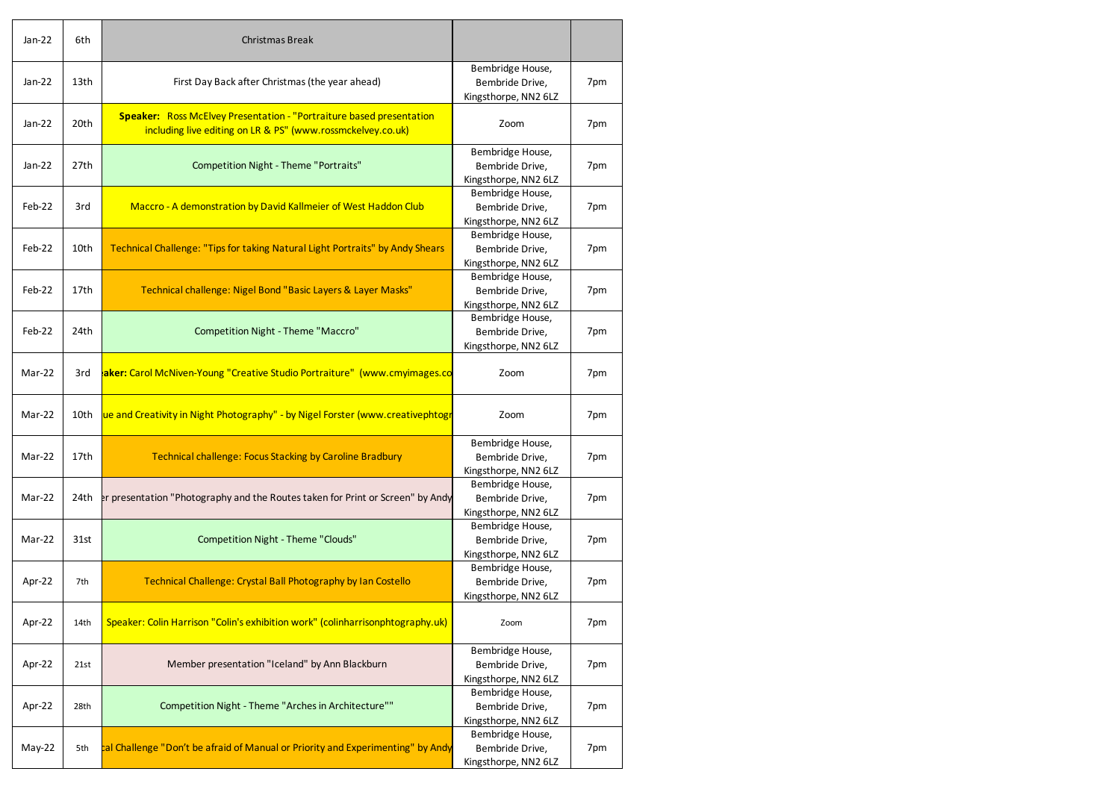| Jan-22 | 6th  | <b>Christmas Break</b>                                                                                                                     |                                                             |     |
|--------|------|--------------------------------------------------------------------------------------------------------------------------------------------|-------------------------------------------------------------|-----|
| Jan-22 | 13th | First Day Back after Christmas (the year ahead)                                                                                            | Bembridge House,<br>Bembride Drive,<br>Kingsthorpe, NN2 6LZ | 7pm |
| Jan-22 | 20th | <b>Speaker:</b> Ross McElvey Presentation - "Portraiture based presentation<br>including live editing on LR & PS" (www.rossmckelvey.co.uk) | Zoom                                                        | 7pm |
| Jan-22 | 27th | Competition Night - Theme "Portraits"                                                                                                      | Bembridge House,<br>Bembride Drive,<br>Kingsthorpe, NN2 6LZ | 7pm |
| Feb-22 | 3rd  | Maccro - A demonstration by David Kallmeier of West Haddon Club                                                                            | Bembridge House,<br>Bembride Drive,<br>Kingsthorpe, NN2 6LZ | 7pm |
| Feb-22 | 10th | Technical Challenge: "Tips for taking Natural Light Portraits" by Andy Shears                                                              | Bembridge House,<br>Bembride Drive,<br>Kingsthorpe, NN2 6LZ | 7pm |
| Feb-22 | 17th | Technical challenge: Nigel Bond "Basic Layers & Layer Masks"                                                                               | Bembridge House,<br>Bembride Drive,<br>Kingsthorpe, NN2 6LZ | 7pm |
| Feb-22 | 24th | Competition Night - Theme "Maccro"                                                                                                         | Bembridge House,<br>Bembride Drive,<br>Kingsthorpe, NN2 6LZ | 7pm |
| Mar-22 | 3rd  | aker: Carol McNiven-Young "Creative Studio Portraiture" (www.cmyimages.co                                                                  | Zoom                                                        | 7pm |
| Mar-22 | 10th | ue and Creativity in Night Photography" - by Nigel Forster (www.creativephtogr                                                             | Zoom                                                        | 7pm |
| Mar-22 | 17th | <b>Technical challenge: Focus Stacking by Caroline Bradbury</b>                                                                            | Bembridge House,<br>Bembride Drive,<br>Kingsthorpe, NN2 6LZ | 7pm |
| Mar-22 | 24th | er presentation "Photography and the Routes taken for Print or Screen" by Andy                                                             | Bembridge House,<br>Bembride Drive,<br>Kingsthorpe, NN2 6LZ | 7pm |
| Mar-22 | 31st | <b>Competition Night - Theme "Clouds"</b>                                                                                                  | Bembridge House,<br>Bembride Drive.<br>Kingsthorpe, NN2 6LZ | 7pm |
| Apr-22 | 7th  | Technical Challenge: Crystal Ball Photography by Ian Costello                                                                              | Bembridge House,<br>Bembride Drive,<br>Kingsthorpe, NN2 6LZ | 7pm |
| Apr-22 | 14th | Speaker: Colin Harrison "Colin's exhibition work" (colinharrisonphtography.uk)                                                             | Zoom                                                        | 7pm |
| Apr-22 | 21st | Member presentation "Iceland" by Ann Blackburn                                                                                             | Bembridge House,<br>Bembride Drive,<br>Kingsthorpe, NN2 6LZ | 7pm |
| Apr-22 | 28th | Competition Night - Theme "Arches in Architecture""                                                                                        | Bembridge House,<br>Bembride Drive,<br>Kingsthorpe, NN2 6LZ | 7pm |
| May-22 | 5th  | cal Challenge "Don't be afraid of Manual or Priority and Experimenting" by Andy                                                            | Bembridge House,<br>Bembride Drive,<br>Kingsthorpe, NN2 6LZ | 7pm |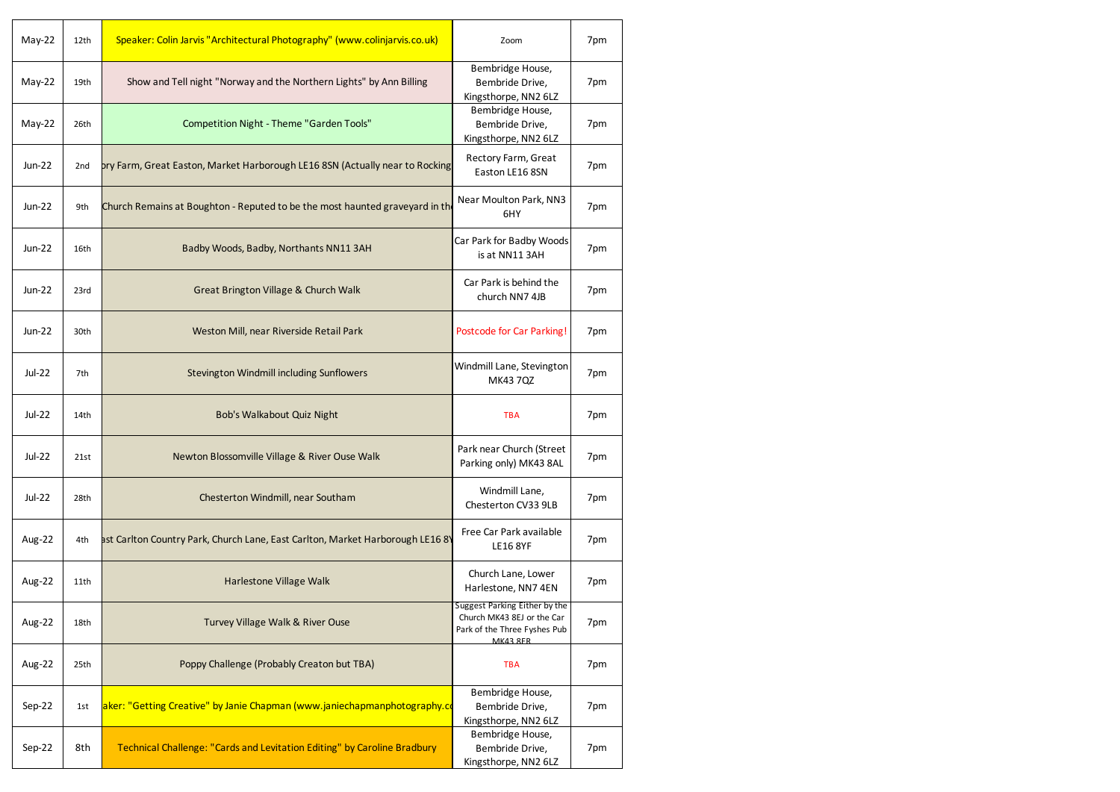| May-22        | 12th | Speaker: Colin Jarvis "Architectural Photography" (www.colinjarvis.co.uk)      | Zoom                                                                                                           | 7pm |
|---------------|------|--------------------------------------------------------------------------------|----------------------------------------------------------------------------------------------------------------|-----|
| $May-22$      | 19th | Show and Tell night "Norway and the Northern Lights" by Ann Billing            | Bembridge House,<br>Bembride Drive,<br>Kingsthorpe, NN2 6LZ                                                    | 7pm |
| $May-22$      | 26th | Competition Night - Theme "Garden Tools"                                       | Bembridge House,<br>Bembride Drive,<br>Kingsthorpe, NN2 6LZ                                                    | 7pm |
| Jun-22        | 2nd  | bry Farm, Great Easton, Market Harborough LE16 8SN (Actually near to Rocking   | Rectory Farm, Great<br>Easton LE16 8SN                                                                         | 7pm |
| Jun-22        | 9th  | Church Remains at Boughton - Reputed to be the most haunted graveyard in the   | Near Moulton Park, NN3<br>6HY                                                                                  | 7pm |
| Jun-22        | 16th | Badby Woods, Badby, Northants NN11 3AH                                         | Car Park for Badby Woods<br>is at NN11 3AH                                                                     | 7pm |
| $Jun-22$      | 23rd | <b>Great Brington Village &amp; Church Walk</b>                                | Car Park is behind the<br>church NN7 4JB                                                                       | 7pm |
| Jun-22        | 30th | Weston Mill, near Riverside Retail Park                                        | <b>Postcode for Car Parking!</b>                                                                               | 7pm |
| <b>Jul-22</b> | 7th  | Stevington Windmill including Sunflowers                                       | Windmill Lane, Stevington<br>MK43 7QZ                                                                          | 7pm |
| <b>Jul-22</b> | 14th | Bob's Walkabout Quiz Night                                                     | <b>TBA</b>                                                                                                     | 7pm |
| <b>Jul-22</b> | 21st | Newton Blossomville Village & River Ouse Walk                                  | Park near Church (Street<br>Parking only) MK43 8AL                                                             | 7pm |
| <b>Jul-22</b> | 28th | Chesterton Windmill, near Southam                                              | Windmill Lane,<br>Chesterton CV33 9LB                                                                          | 7pm |
| Aug-22        | 4th  | ast Carlton Country Park, Church Lane, East Carlton, Market Harborough LE16 8Y | Free Car Park available<br><b>LE16 8YF</b>                                                                     | 7pm |
| Aug-22        | 11th | Harlestone Village Walk                                                        | Church Lane, Lower<br>Harlestone, NN7 4EN                                                                      | 7pm |
| Aug-22        | 18th | Turvey Village Walk & River Ouse                                               | Suggest Parking Either by the<br>Church MK43 8EJ or the Car<br>Park of the Three Fyshes Pub<br><b>MK43 8FR</b> | 7pm |
| Aug-22        | 25th | Poppy Challenge (Probably Creaton but TBA)                                     | <b>TBA</b>                                                                                                     | 7pm |
| Sep-22        | 1st  | aker: "Getting Creative" by Janie Chapman (www.janiechapmanphotography.co      | Bembridge House,<br>Bembride Drive,<br>Kingsthorpe, NN2 6LZ                                                    | 7pm |
| Sep-22        | 8th  | Technical Challenge: "Cards and Levitation Editing" by Caroline Bradbury       | Bembridge House,<br>Bembride Drive,<br>Kingsthorpe, NN2 6LZ                                                    | 7pm |